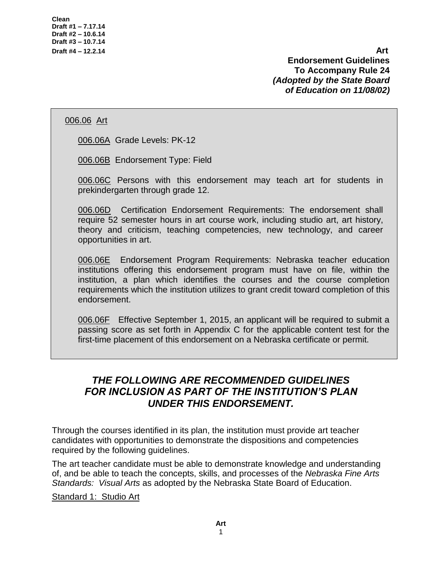**Draft #4 – 12.2.14 Art Endorsement Guidelines To Accompany Rule 24** *(Adopted by the State Board of Education on 11/08/02)*

## 006.06 Art

006.06A Grade Levels: PK-12

006.06B Endorsement Type: Field

006.06C Persons with this endorsement may teach art for students in prekindergarten through grade 12.

006.06D Certification Endorsement Requirements: The endorsement shall require 52 semester hours in art course work, including studio art, art history, theory and criticism, teaching competencies, new technology, and career opportunities in art.

006.06E Endorsement Program Requirements: Nebraska teacher education institutions offering this endorsement program must have on file, within the institution, a plan which identifies the courses and the course completion requirements which the institution utilizes to grant credit toward completion of this endorsement.

006.06F Effective September 1, 2015, an applicant will be required to submit a passing score as set forth in Appendix C for the applicable content test for the first-time placement of this endorsement on a Nebraska certificate or permit.

# *THE FOLLOWING ARE RECOMMENDED GUIDELINES FOR INCLUSION AS PART OF THE INSTITUTION'S PLAN UNDER THIS ENDORSEMENT.*

Through the courses identified in its plan, the institution must provide art teacher candidates with opportunities to demonstrate the dispositions and competencies required by the following guidelines.

The art teacher candidate must be able to demonstrate knowledge and understanding of, and be able to teach the concepts, skills, and processes of the *Nebraska Fine Arts Standards: Visual Arts* as adopted by the Nebraska State Board of Education.

Standard 1: Studio Art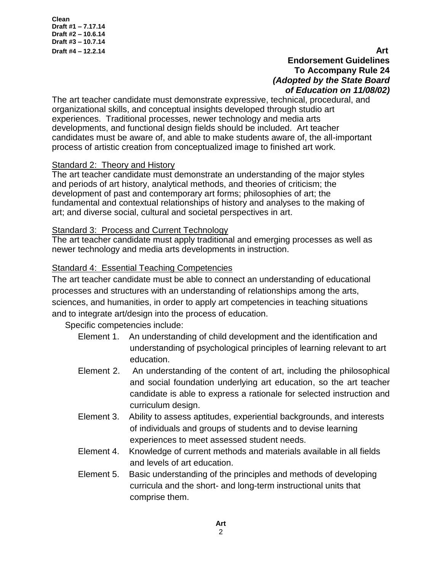**Clean Draft #1 – 7.17.14 Draft #2 – 10.6.14 Draft #3 – 10.7.14** 

## **Draft #4 – 12.2.14 Art Endorsement Guidelines To Accompany Rule 24** *(Adopted by the State Board of Education on 11/08/02)*

The art teacher candidate must demonstrate expressive, technical, procedural, and organizational skills, and conceptual insights developed through studio art experiences. Traditional processes, newer technology and media arts developments, and functional design fields should be included. Art teacher candidates must be aware of, and able to make students aware of, the all-important process of artistic creation from conceptualized image to finished art work.

## Standard 2: Theory and History

The art teacher candidate must demonstrate an understanding of the major styles and periods of art history, analytical methods, and theories of criticism; the development of past and contemporary art forms; philosophies of art; the fundamental and contextual relationships of history and analyses to the making of art; and diverse social, cultural and societal perspectives in art.

#### Standard 3: Process and Current Technology

The art teacher candidate must apply traditional and emerging processes as well as newer technology and media arts developments in instruction.

## Standard 4: Essential Teaching Competencies

The art teacher candidate must be able to connect an understanding of educational processes and structures with an understanding of relationships among the arts, sciences, and humanities, in order to apply art competencies in teaching situations and to integrate art/design into the process of education.

Specific competencies include:

- Element 1. An understanding of child development and the identification and understanding of psychological principles of learning relevant to art education.
- Element 2. An understanding of the content of art, including the philosophical and social foundation underlying art education, so the art teacher candidate is able to express a rationale for selected instruction and curriculum design.
- Element 3. Ability to assess aptitudes, experiential backgrounds, and interests of individuals and groups of students and to devise learning experiences to meet assessed student needs.
- Element 4. Knowledge of current methods and materials available in all fields and levels of art education.
- Element 5. Basic understanding of the principles and methods of developing curricula and the short- and long-term instructional units that comprise them.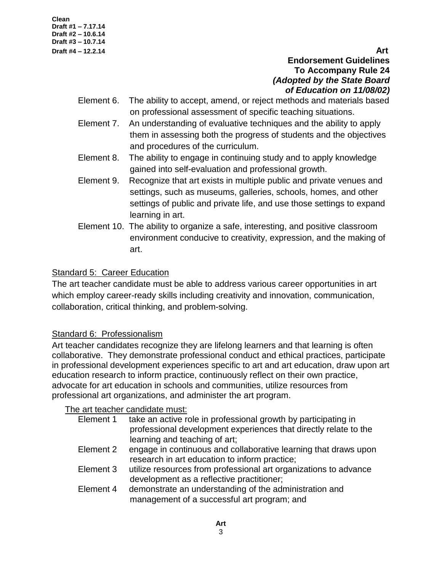**Clean Draft #1 – 7.17.14 Draft #2 – 10.6.14 Draft #3 – 10.7.14** 

**Draft #4 – 12.2.14 Art Endorsement Guidelines To Accompany Rule 24** *(Adopted by the State Board of Education on 11/08/02)*

- Element 6. The ability to accept, amend, or reject methods and materials based on professional assessment of specific teaching situations.
- Element 7. An understanding of evaluative techniques and the ability to apply them in assessing both the progress of students and the objectives and procedures of the curriculum.
- Element 8. The ability to engage in continuing study and to apply knowledge gained into self-evaluation and professional growth.
- Element 9. Recognize that art exists in multiple public and private venues and settings, such as museums, galleries, schools, homes, and other settings of public and private life, and use those settings to expand learning in art.
- Element 10. The ability to organize a safe, interesting, and positive classroom environment conducive to creativity, expression, and the making of art.

## Standard 5: Career Education

The art teacher candidate must be able to address various career opportunities in art which employ career-ready skills including creativity and innovation, communication, collaboration, critical thinking, and problem-solving.

# Standard 6: Professionalism

Art teacher candidates recognize they are lifelong learners and that learning is often collaborative. They demonstrate professional conduct and ethical practices, participate in professional development experiences specific to art and art education, draw upon art education research to inform practice, continuously reflect on their own practice, advocate for art education in schools and communities, utilize resources from professional art organizations, and administer the art program.

## The art teacher candidate must:

| Element 1 | take an active role in professional growth by participating in<br>professional development experiences that directly relate to the<br>learning and teaching of art; |
|-----------|---------------------------------------------------------------------------------------------------------------------------------------------------------------------|
| Element 2 | engage in continuous and collaborative learning that draws upon<br>research in art education to inform practice;                                                    |
| Element 3 | utilize resources from professional art organizations to advance<br>development as a reflective practitioner;                                                       |
| Element 4 | demonstrate an understanding of the administration and<br>management of a successful art program; and                                                               |